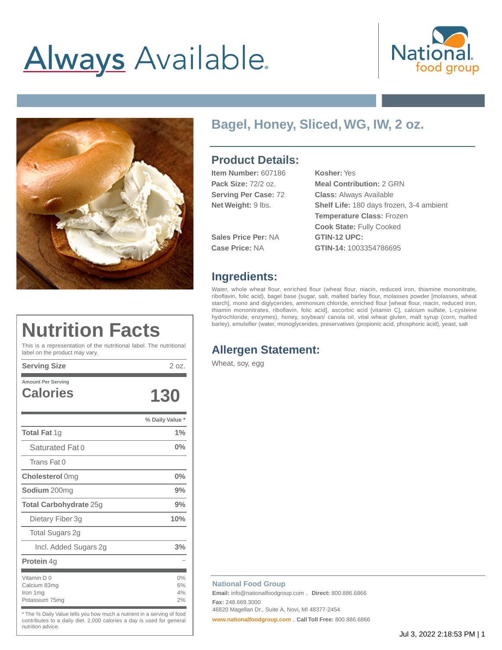# **Always** Available.





### **Bagel, Honey, Sliced, WG, IW, 2 oz.**

#### **Product Details:**

| <b>Item Number: 607186</b>  | Kosher: Yes                              |
|-----------------------------|------------------------------------------|
| <b>Pack Size: 72/2 oz.</b>  | <b>Meal Contribution: 2 GRN</b>          |
| <b>Serving Per Case: 72</b> | <b>Class: Always Available</b>           |
| Net Weight: 9 lbs.          | Shelf Life: 180 days frozen, 3-4 ambient |
|                             | <b>Temperature Class: Frozen</b>         |
|                             | <b>Cook State: Fully Cooked</b>          |
| <b>Sales Price Per: NA</b>  | <b>GTIN-12 UPC:</b>                      |
| Case Price: NA              | GTIN-14: 1003354786695                   |

#### **Ingredients:**

Water, whole wheat flour, enriched flour (wheat flour, niacin, reduced iron, thiamine mononitrate, riboflavin, folic acid), bagel base (sugar, salt, malted barley flour, molasses powder [molasses, wheat starch], mono and diglycerides, ammonium chloride, enriched flour [wheat flour, niacin, reduced iron, thiamin mononitrates, riboflavin, folic acid], ascorbic acid [vitamin C], calcium sulfate, L-cysteine hydrochloride, enzymes), honey, soybean/ canola oil, vital wheat gluten, malt syrup (corn, malted barley), emulsifier (water, monoglycerides, preservatives (propionic acid, phosphoric acid), yeast, salt

### **Nutrition Facts**

This is a representation of the nutritional label. The nutritional label on the product may vary.

**Serving Size** 2 oz.

| <b>Amount Per Serving</b>                                 |                      |
|-----------------------------------------------------------|----------------------|
| <b>Calories</b>                                           | 130                  |
|                                                           | % Daily Value *      |
| <b>Total Fat 1g</b>                                       | 1%                   |
| Saturated Fat 0                                           | $0\%$                |
| Trans Fat 0                                               |                      |
| <b>Cholesterol</b> 0mg                                    | $0\%$                |
| <b>Sodium</b> 200mg                                       | 9%                   |
| <b>Total Carbohydrate 25g</b>                             | 9%                   |
| Dietary Fiber 3g                                          | 10%                  |
| Total Sugars 2g                                           |                      |
| Incl. Added Sugars 2g                                     | 3%                   |
| <b>Protein 4g</b>                                         |                      |
| Vitamin D 0<br>Calcium 83mg<br>Iron 1mg<br>Potassium 75mg | 0%<br>6%<br>4%<br>2% |

\* The % Daily Value tells you how much a nutrient in a serving of food contributes to a daily diet. 2,000 calories a day is used for general nutrition advice.

#### **Allergen Statement:**

Wheat, soy, egg

#### **National Food Group**

**Email:** info@nationalfoodgroup.com . **Direct:** 800.886.6866 **Fax:** 248.669.3000

46820 Magellan Dr., Suite A, Novi, MI 48377-2454

**[www.nationalfoodgroup.com](https://3450792.app.netsuite.com/www.nationalfoodgroup.com)** . **Call Toll Free:** 800.886.6866